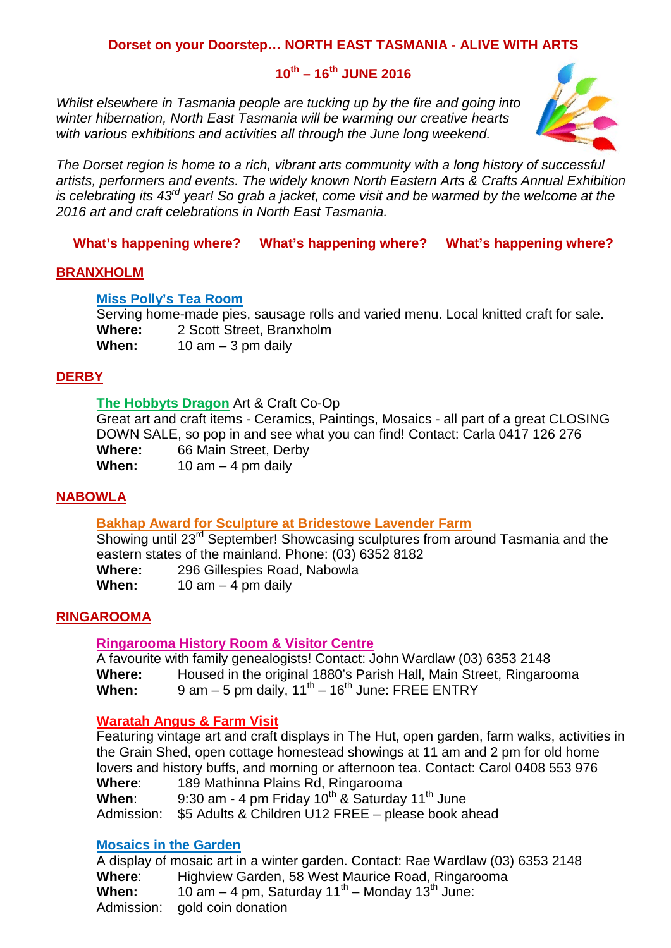### **Dorset on your Doorstep… NORTH EAST TASMANIA - ALIVE WITH ARTS**

## **10th – 16th JUNE 2016**

*Whilst elsewhere in Tasmania people are tucking up by the fire and going into winter hibernation, North East Tasmania will be warming our creative hearts with various exhibitions and activities all through the June long weekend.*



*The Dorset region is home to a rich, vibrant arts community with a long history of successful artists, performers and events. The widely known North Eastern Arts & Crafts Annual Exhibition is celebrating its 43rd year! So grab a jacket, come visit and be warmed by the welcome at the 2016 art and craft celebrations in North East Tasmania.* 

**What's happening where? What's happening where? What's happening where?**

#### **BRANXHOLM**

#### **Miss Polly's Tea Room**

Serving home-made pies, sausage rolls and varied menu. Local knitted craft for sale. **Where:** 2 Scott Street, Branxholm **When:** 10 am – 3 pm daily

#### **DERBY**

### **The Hobbyts Dragon** Art & Craft Co-Op

Great art and craft items - Ceramics, Paintings, Mosaics - all part of a great CLOSING DOWN SALE, so pop in and see what you can find! Contact: Carla 0417 126 276 **Where:** 66 Main Street, Derby When: 10 am – 4 pm daily

#### **NABOWLA**

### **Bakhap Award for Sculpture at Bridestowe Lavender Farm**

Showing until 23<sup>rd</sup> September! Showcasing sculptures from around Tasmania and the eastern states of the mainland. Phone: (03) 6352 8182

Where: 296 Gillespies Road, Nabowla<br>When: 10 am – 4 pm daily  $10$  am  $-$  4 pm daily

#### **RINGAROOMA**

#### **Ringarooma History Room & Visitor Centre**

A favourite with family genealogists! Contact: John Wardlaw (03) 6353 2148<br>
Where: Housed in the original 1880's Parish Hall, Main Street, Ringaro **Where:** Housed in the original 1880's Parish Hall, Main Street, Ringarooma **When:** 9 am – 5 pm daily,  $11^{th}$  –  $16^{th}$  June: FREE ENTRY

#### **Waratah Angus & Farm Visit**

Featuring vintage art and craft displays in The Hut, open garden, farm walks, activities in the Grain Shed, open cottage homestead showings at 11 am and 2 pm for old home lovers and history buffs, and morning or afternoon tea. Contact: Carol 0408 553 976 **Where**: 189 Mathinna Plains Rd, Ringarooma

**When:** 9:30 am - 4 pm Friday 10<sup>th</sup> & Saturday 11<sup>th</sup> June

Admission: \$5 Adults & Children U12 FREE – please book ahead

#### **Mosaics in the Garden**

A display of mosaic art in a winter garden. Contact: Rae Wardlaw (03) 6353 2148 **Where**: Highview Garden, 58 West Maurice Road, Ringarooma **When:**  $10$  am – 4 pm, Saturday  $11^{th}$  – Monday  $13^{th}$  June: Admission: gold coin donation